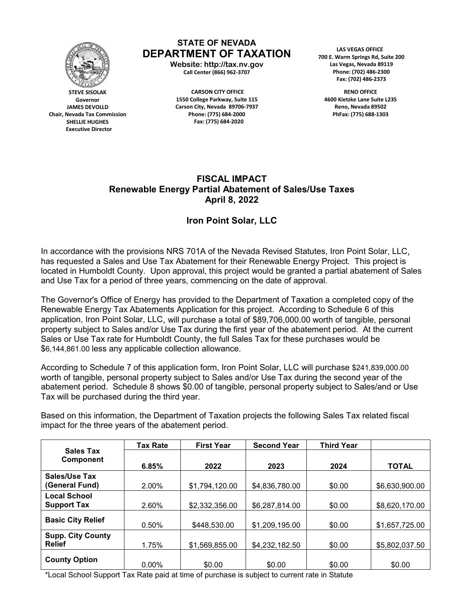

**STEVE SISOLAK Governor JAMES DEVOLLD Chair, Nevada Tax Commission SHELLIE HUGHES Executive Director** 

## **STATE OF NEVADA DEPARTMENT OF TAXATION**

**Website: http://tax.nv.gov Call Center (866) 962-3707** 

**CARSON CITY OFFICE 1550 College Parkway, Suite 115 Carson City, Nevada 89706-7937 Phone: (775) 684-2000 Fax: (775) 684-2020**

 **LAS VEGAS OFFICE 700 E. Warm Springs Rd, Suite 200 Las Vegas, Nevada 89119 Phone: (702) 486-2300 Fax: (702) 486-2373**

**RENO OFFICE 4600 Kietzke Lane Suite L235 Reno, Nevada 89502 PhFax: (775) 688-1303**

## **FISCAL IMPACT Renewable Energy Partial Abatement of Sales/Use Taxes April 8, 2022**

## **Iron Point Solar, LLC**

In accordance with the provisions NRS 701A of the Nevada Revised Statutes, Iron Point Solar, LLC, has requested a Sales and Use Tax Abatement for their Renewable Energy Project. This project is located in Humboldt County. Upon approval, this project would be granted a partial abatement of Sales and Use Tax for a period of three years, commencing on the date of approval.

The Governor's Office of Energy has provided to the Department of Taxation a completed copy of the Renewable Energy Tax Abatements Application for this project. According to Schedule 6 of this application, Iron Point Solar, LLC, will purchase a total of \$89,706,000.00 worth of tangible, personal property subject to Sales and/or Use Tax during the first year of the abatement period. At the current Sales or Use Tax rate for Humboldt County, the full Sales Tax for these purchases would be \$6,144,861.00 less any applicable collection allowance.

According to Schedule 7 of this application form, Iron Point Solar, LLC will purchase \$241,839,000.00 worth of tangible, personal property subject to Sales and/or Use Tax during the second year of the abatement period. Schedule 8 shows \$0.00 of tangible, personal property subject to Sales/and or Use Tax will be purchased during the third year.

Based on this information, the Department of Taxation projects the following Sales Tax related fiscal impact for the three years of the abatement period.

| <b>Sales Tax</b><br><b>Component</b>      | <b>Tax Rate</b> | <b>First Year</b> | <b>Second Year</b> | <b>Third Year</b> |                |
|-------------------------------------------|-----------------|-------------------|--------------------|-------------------|----------------|
|                                           | 6.85%           | 2022              | 2023               | 2024              | <b>TOTAL</b>   |
| Sales/Use Tax<br>(General Fund)           | 2.00%           | \$1,794,120.00    | \$4,836,780.00     | \$0.00            | \$6,630,900.00 |
| <b>Local School</b><br><b>Support Tax</b> | 2.60%           | \$2,332,356.00    | \$6,287,814.00     | \$0.00            | \$8,620,170.00 |
| <b>Basic City Relief</b>                  | 0.50%           | \$448,530.00      | \$1,209,195.00     | \$0.00            | \$1,657,725.00 |
| <b>Supp. City County</b><br><b>Relief</b> | 1.75%           | \$1,569,855.00    | \$4,232,182.50     | \$0.00            | \$5,802,037.50 |
| <b>County Option</b>                      | $0.00\%$        | \$0.00            | \$0.00             | \$0.00            | \$0.00         |

\*Local School Support Tax Rate paid at time of purchase is subject to current rate in Statute